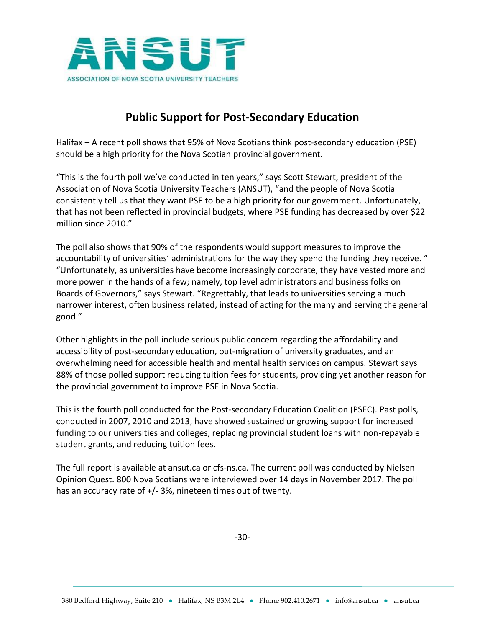

## **Public Support for Post-Secondary Education**

Halifax – A recent poll shows that 95% of Nova Scotians think post-secondary education (PSE) should be a high priority for the Nova Scotian provincial government.

"This is the fourth poll we've conducted in ten years," says Scott Stewart, president of the Association of Nova Scotia University Teachers (ANSUT), "and the people of Nova Scotia consistently tell us that they want PSE to be a high priority for our government. Unfortunately, that has not been reflected in provincial budgets, where PSE funding has decreased by over \$22 million since 2010."

The poll also shows that 90% of the respondents would support measures to improve the accountability of universities' administrations for the way they spend the funding they receive. " "Unfortunately, as universities have become increasingly corporate, they have vested more and more power in the hands of a few; namely, top level administrators and business folks on Boards of Governors," says Stewart. "Regrettably, that leads to universities serving a much narrower interest, often business related, instead of acting for the many and serving the general good."

Other highlights in the poll include serious public concern regarding the affordability and accessibility of post-secondary education, out-migration of university graduates, and an overwhelming need for accessible health and mental health services on campus. Stewart says 88% of those polled support reducing tuition fees for students, providing yet another reason for the provincial government to improve PSE in Nova Scotia.

This is the fourth poll conducted for the Post-secondary Education Coalition (PSEC). Past polls, conducted in 2007, 2010 and 2013, have showed sustained or growing support for increased funding to our universities and colleges, replacing provincial student loans with non-repayable student grants, and reducing tuition fees.

The full report is available at ansut.ca or cfs-ns.ca. The current poll was conducted by Nielsen Opinion Quest. 800 Nova Scotians were interviewed over 14 days in November 2017. The poll has an accuracy rate of +/‐ 3%, nineteen times out of twenty.

-30-